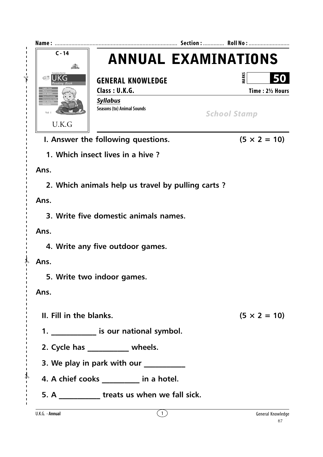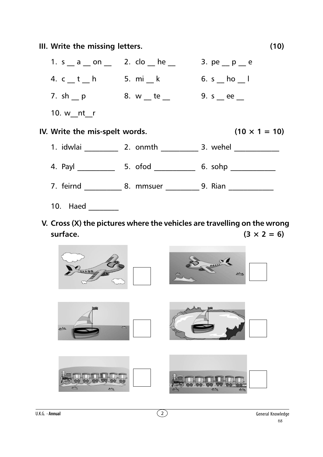III. Write the missing letters.  $(10)$ 1.  $s = a$  on 2. clo he  $\frac{1}{s}$  3. pe  $p = e$ 4.  $c_t - t$  h 5. mi k 6. s ho l 7. sh \_ p 3. w \_ te \_ 9. s \_ ee \_ 10. w nt r IV. Write the mis-spelt words.  $(10 \times 1 = 10)$ 1. idwlai \_\_\_\_\_\_\_\_\_\_\_\_\_ 2. onmth \_\_\_\_\_\_\_\_\_\_\_\_\_ 3. wehel \_\_\_\_\_\_\_\_\_\_\_\_\_\_\_\_\_\_\_\_\_\_\_\_ 7. feirnd \_\_\_\_\_\_\_\_\_\_\_\_ 8. mmsuer \_\_\_\_\_\_\_\_\_\_\_ 9. Rian \_\_\_\_\_\_\_\_\_\_\_\_\_

- 
- V. Cross (X) the pictures where the vehicles are travelling on the wrong surface.  $(3 \times 2 = 6)$